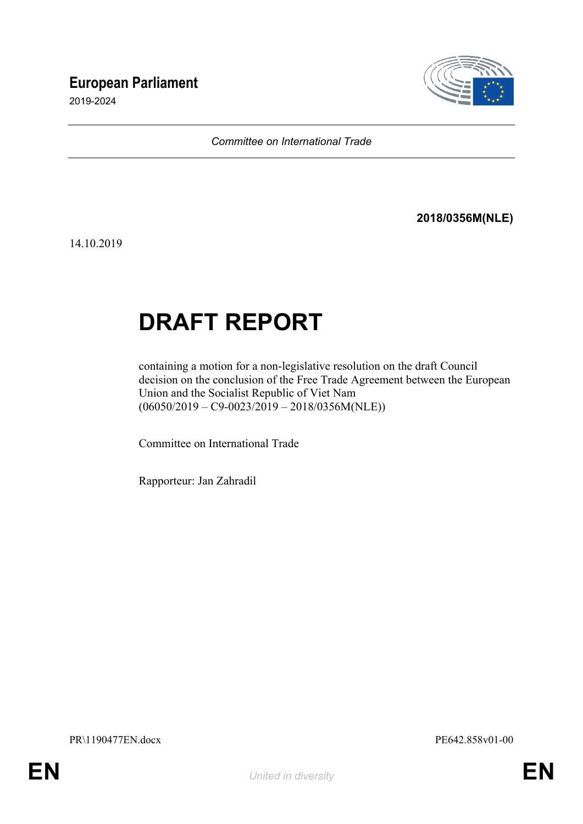## **European Parliament**

2019-2024



*Committee on International Trade*

**2018/0356M(NLE)**

14.10.2019

# **DRAFT REPORT**

containing a motion for a non-legislative resolution on the draft Council decision on the conclusion of the Free Trade Agreement between the European Union and the Socialist Republic of Viet Nam  $(06050/2019 - C9 - 0023/2019 - 2018/0356M(NLE))$ 

Committee on International Trade

Rapporteur: Jan Zahradil

<span id="page-0-1"></span><span id="page-0-0"></span>PR\1190477EN.docx PE642.858v01-00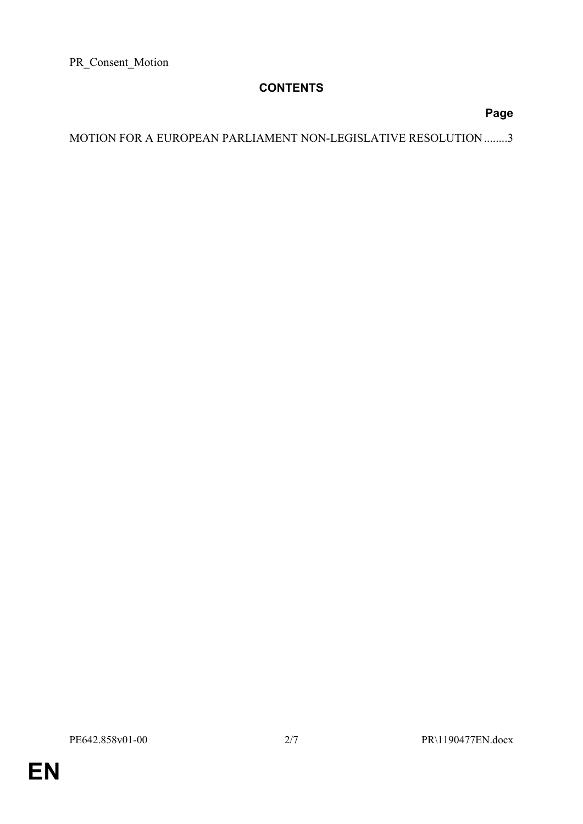PR\_Consent\_Motion

### **CONTENTS**

#### **Page**

MOTION FOR A EUROPEAN PARLIAMENT NON-LEGISLATIVE RESOLUTION .......[.3](#page-2-0)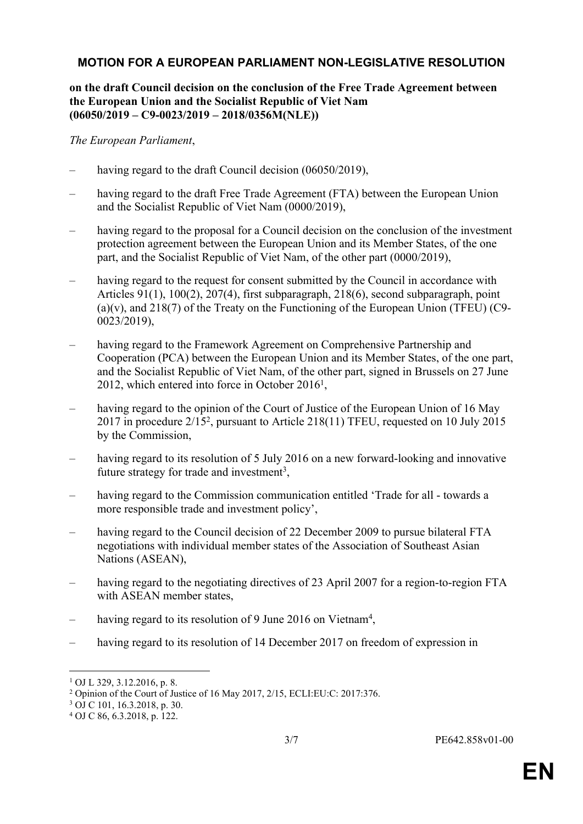#### <span id="page-2-0"></span>**MOTION FOR A EUROPEAN PARLIAMENT NON-LEGISLATIVE RESOLUTION**

#### **on the draft Council decision on the conclusion of the Free Trade Agreement between the European Union and the Socialist Republic of Viet Nam (06050/2019 – C9-0023/2019 – 2018/0356M(NLE))**

*The European Parliament*,

- having regard to the draft Council decision (06050/2019).
- having regard to the draft Free Trade Agreement (FTA) between the European Union and the Socialist Republic of Viet Nam (0000/2019),
- having regard to the proposal for a Council decision on the conclusion of the investment protection agreement between the European Union and its Member States, of the one part, and the Socialist Republic of Viet Nam, of the other part (0000/2019),
- having regard to the request for consent submitted by the Council in accordance with Articles 91(1), 100(2), 207(4), first subparagraph, 218(6), second subparagraph, point  $(a)(v)$ , and 218(7) of the Treaty on the Functioning of the European Union (TFEU) (C9-0023/2019),
- having regard to the Framework Agreement on Comprehensive Partnership and Cooperation (PCA) between the European Union and its Member States, of the one part, and the Socialist Republic of Viet Nam, of the other part, signed in Brussels on 27 June 2012, which entered into force in October 2016<sup>1</sup>,
- having regard to the opinion of the Court of Justice of the European Union of 16 May 2017 in procedure 2/15<sup>2</sup> , pursuant to Article 218(11) TFEU, requested on 10 July 2015 by the Commission,
- having regard to its resolution of 5 July 2016 on a new forward-looking and innovative future strategy for trade and investment<sup>3</sup>,
- having regard to the Commission communication entitled 'Trade for all towards a more responsible trade and investment policy',
- having regard to the Council decision of 22 December 2009 to pursue bilateral FTA negotiations with individual member states of the Association of Southeast Asian Nations (ASEAN),
- having regard to the negotiating directives of 23 April 2007 for a region-to-region FTA with ASEAN member states,
- having regard to its resolution of 9 June 2016 on Vietnam<sup>4</sup>,
- having regard to its resolution of 14 December 2017 on freedom of expression in

<sup>1</sup> OJ L 329, 3.12.2016, p. 8.

<sup>2</sup> Opinion of the Court of Justice of 16 May 2017, 2/15, ECLI:EU:C: 2017:376.

<sup>3</sup> OJ C 101, 16.3.2018, p. 30.

<sup>4</sup> OJ C 86, 6.3.2018, p. 122.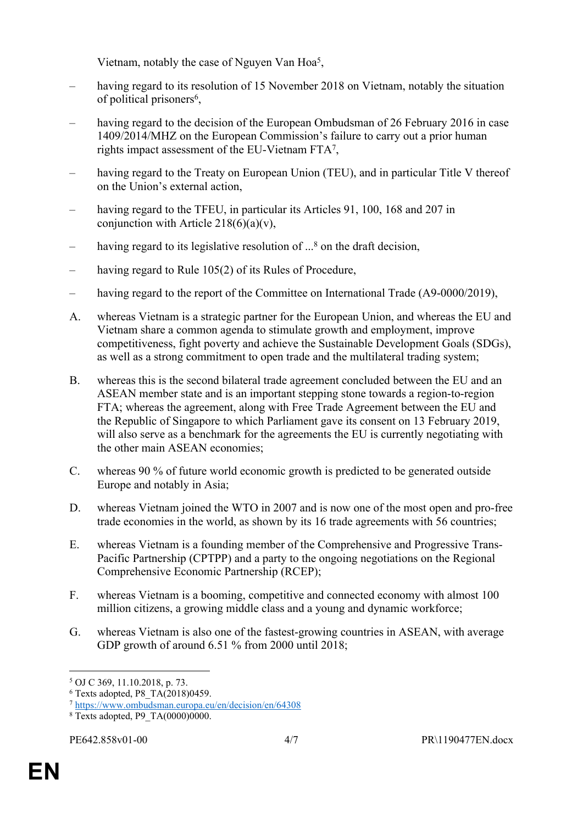Vietnam, notably the case of Nguyen Van Hoa<sup>5</sup>,

- having regard to its resolution of 15 November 2018 on Vietnam, notably the situation of political prisoners<sup>6</sup>,
- having regard to the decision of the European Ombudsman of 26 February 2016 in case 1409/2014/MHZ on the European Commission's failure to carry out a prior human rights impact assessment of the EU-Vietnam FTA<sup>7</sup> ,
- having regard to the Treaty on European Union (TEU), and in particular Title V thereof on the Union's external action,
- having regard to the TFEU, in particular its Articles 91, 100, 168 and 207 in conjunction with Article  $218(6)(a)(v)$ ,
- having regard to its legislative resolution of ...<sup>8</sup> on the draft decision,
- having regard to Rule 105(2) of its Rules of Procedure,
- having regard to the report of the Committee on International Trade (A9-0000/2019),
- A. whereas Vietnam is a strategic partner for the European Union, and whereas the EU and Vietnam share a common agenda to stimulate growth and employment, improve competitiveness, fight poverty and achieve the Sustainable Development Goals (SDGs), as well as a strong commitment to open trade and the multilateral trading system;
- B. whereas this is the second bilateral trade agreement concluded between the EU and an ASEAN member state and is an important stepping stone towards a region-to-region FTA; whereas the agreement, along with Free Trade Agreement between the EU and the Republic of Singapore to which Parliament gave its consent on 13 February 2019, will also serve as a benchmark for the agreements the EU is currently negotiating with the other main ASEAN economies;
- C. whereas 90 % of future world economic growth is predicted to be generated outside Europe and notably in Asia;
- D. whereas Vietnam joined the WTO in 2007 and is now one of the most open and pro-free trade economies in the world, as shown by its 16 trade agreements with 56 countries;
- E. whereas Vietnam is a founding member of the Comprehensive and Progressive Trans-Pacific Partnership (CPTPP) and a party to the ongoing negotiations on the Regional Comprehensive Economic Partnership (RCEP);
- F. whereas Vietnam is a booming, competitive and connected economy with almost 100 million citizens, a growing middle class and a young and dynamic workforce;
- G. whereas Vietnam is also one of the fastest-growing countries in ASEAN, with average GDP growth of around 6.51 % from 2000 until 2018;

<sup>5</sup> OJ C 369, 11.10.2018, p. 73.

<sup>6</sup> Texts adopted, P8\_TA(2018)0459.

<sup>7</sup> <https://www.ombudsman.europa.eu/en/decision/en/64308>

<sup>8</sup> Texts adopted, P9\_TA(0000)0000.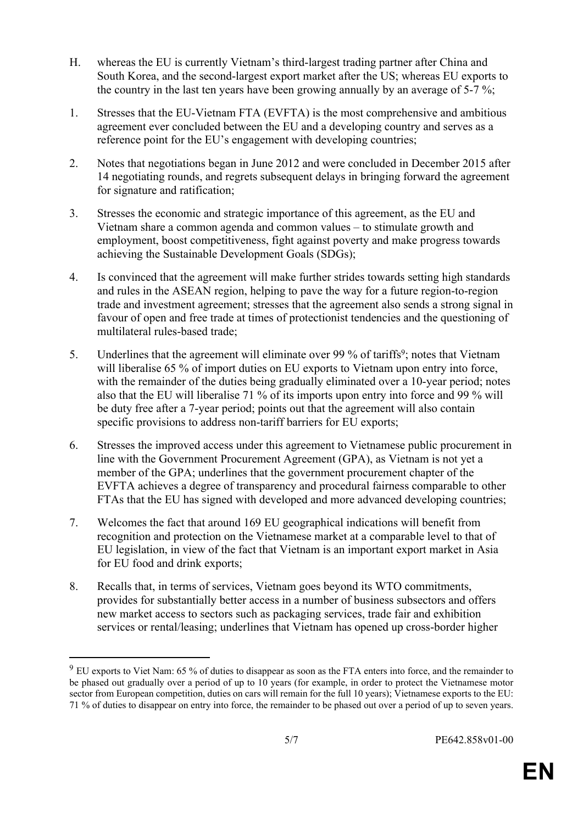- H. whereas the EU is currently Vietnam's third-largest trading partner after China and South Korea, and the second-largest export market after the US; whereas EU exports to the country in the last ten years have been growing annually by an average of 5-7 %;
- 1. Stresses that the EU-Vietnam FTA (EVFTA) is the most comprehensive and ambitious agreement ever concluded between the EU and a developing country and serves as a reference point for the EU's engagement with developing countries;
- 2. Notes that negotiations began in June 2012 and were concluded in December 2015 after 14 negotiating rounds, and regrets subsequent delays in bringing forward the agreement for signature and ratification;
- 3. Stresses the economic and strategic importance of this agreement, as the EU and Vietnam share a common agenda and common values – to stimulate growth and employment, boost competitiveness, fight against poverty and make progress towards achieving the Sustainable Development Goals (SDGs);
- 4. Is convinced that the agreement will make further strides towards setting high standards and rules in the ASEAN region, helping to pave the way for a future region-to-region trade and investment agreement; stresses that the agreement also sends a strong signal in favour of open and free trade at times of protectionist tendencies and the questioning of multilateral rules-based trade;
- 5. Underlines that the agreement will eliminate over 99 % of tariffs<sup>9</sup>; notes that Vietnam will liberalise 65 % of import duties on EU exports to Vietnam upon entry into force, with the remainder of the duties being gradually eliminated over a 10-year period; notes also that the EU will liberalise 71 % of its imports upon entry into force and 99 % will be duty free after a 7-year period; points out that the agreement will also contain specific provisions to address non-tariff barriers for EU exports;
- 6. Stresses the improved access under this agreement to Vietnamese public procurement in line with the Government Procurement Agreement (GPA), as Vietnam is not yet a member of the GPA; underlines that the government procurement chapter of the EVFTA achieves a degree of transparency and procedural fairness comparable to other FTAs that the EU has signed with developed and more advanced developing countries;
- 7. Welcomes the fact that around 169 EU geographical indications will benefit from recognition and protection on the Vietnamese market at a comparable level to that of EU legislation, in view of the fact that Vietnam is an important export market in Asia for EU food and drink exports;
- 8. Recalls that, in terms of services, Vietnam goes beyond its WTO commitments, provides for substantially better access in a number of business subsectors and offers new market access to sectors such as packaging services, trade fair and exhibition services or rental/leasing; underlines that Vietnam has opened up cross-border higher

<sup>&</sup>lt;sup>9</sup> EU exports to Viet Nam: 65 % of duties to disappear as soon as the FTA enters into force, and the remainder to be phased out gradually over a period of up to 10 years (for example, in order to protect the Vietnamese motor sector from European competition, duties on cars will remain for the full 10 years); Vietnamese exports to the EU: 71 % of duties to disappear on entry into force, the remainder to be phased out over a period of up to seven years.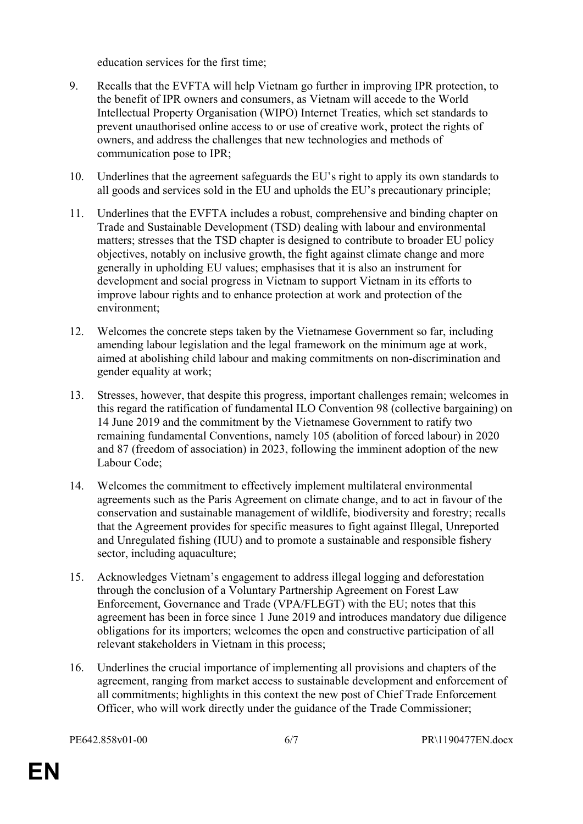education services for the first time;

- 9. Recalls that the EVFTA will help Vietnam go further in improving IPR protection, to the benefit of IPR owners and consumers, as Vietnam will accede to the World Intellectual Property Organisation (WIPO) Internet Treaties, which set standards to prevent unauthorised online access to or use of creative work, protect the rights of owners, and address the challenges that new technologies and methods of communication pose to IPR;
- 10. Underlines that the agreement safeguards the EU's right to apply its own standards to all goods and services sold in the EU and upholds the EU's precautionary principle;
- 11. Underlines that the EVFTA includes a robust, comprehensive and binding chapter on Trade and Sustainable Development (TSD) dealing with labour and environmental matters; stresses that the TSD chapter is designed to contribute to broader EU policy objectives, notably on inclusive growth, the fight against climate change and more generally in upholding EU values; emphasises that it is also an instrument for development and social progress in Vietnam to support Vietnam in its efforts to improve labour rights and to enhance protection at work and protection of the environment;
- 12. Welcomes the concrete steps taken by the Vietnamese Government so far, including amending labour legislation and the legal framework on the minimum age at work, aimed at abolishing child labour and making commitments on non-discrimination and gender equality at work;
- 13. Stresses, however, that despite this progress, important challenges remain; welcomes in this regard the ratification of fundamental ILO Convention 98 (collective bargaining) on 14 June 2019 and the commitment by the Vietnamese Government to ratify two remaining fundamental Conventions, namely 105 (abolition of forced labour) in 2020 and 87 (freedom of association) in 2023, following the imminent adoption of the new Labour Code;
- 14. Welcomes the commitment to effectively implement multilateral environmental agreements such as the Paris Agreement on climate change, and to act in favour of the conservation and sustainable management of wildlife, biodiversity and forestry; recalls that the Agreement provides for specific measures to fight against Illegal, Unreported and Unregulated fishing (IUU) and to promote a sustainable and responsible fishery sector, including aquaculture;
- 15. Acknowledges Vietnam's engagement to address illegal logging and deforestation through the conclusion of a Voluntary Partnership Agreement on Forest Law Enforcement, Governance and Trade (VPA/FLEGT) with the EU; notes that this agreement has been in force since 1 June 2019 and introduces mandatory due diligence obligations for its importers; welcomes the open and constructive participation of all relevant stakeholders in Vietnam in this process;
- 16. Underlines the crucial importance of implementing all provisions and chapters of the agreement, ranging from market access to sustainable development and enforcement of all commitments; highlights in this context the new post of Chief Trade Enforcement Officer, who will work directly under the guidance of the Trade Commissioner;